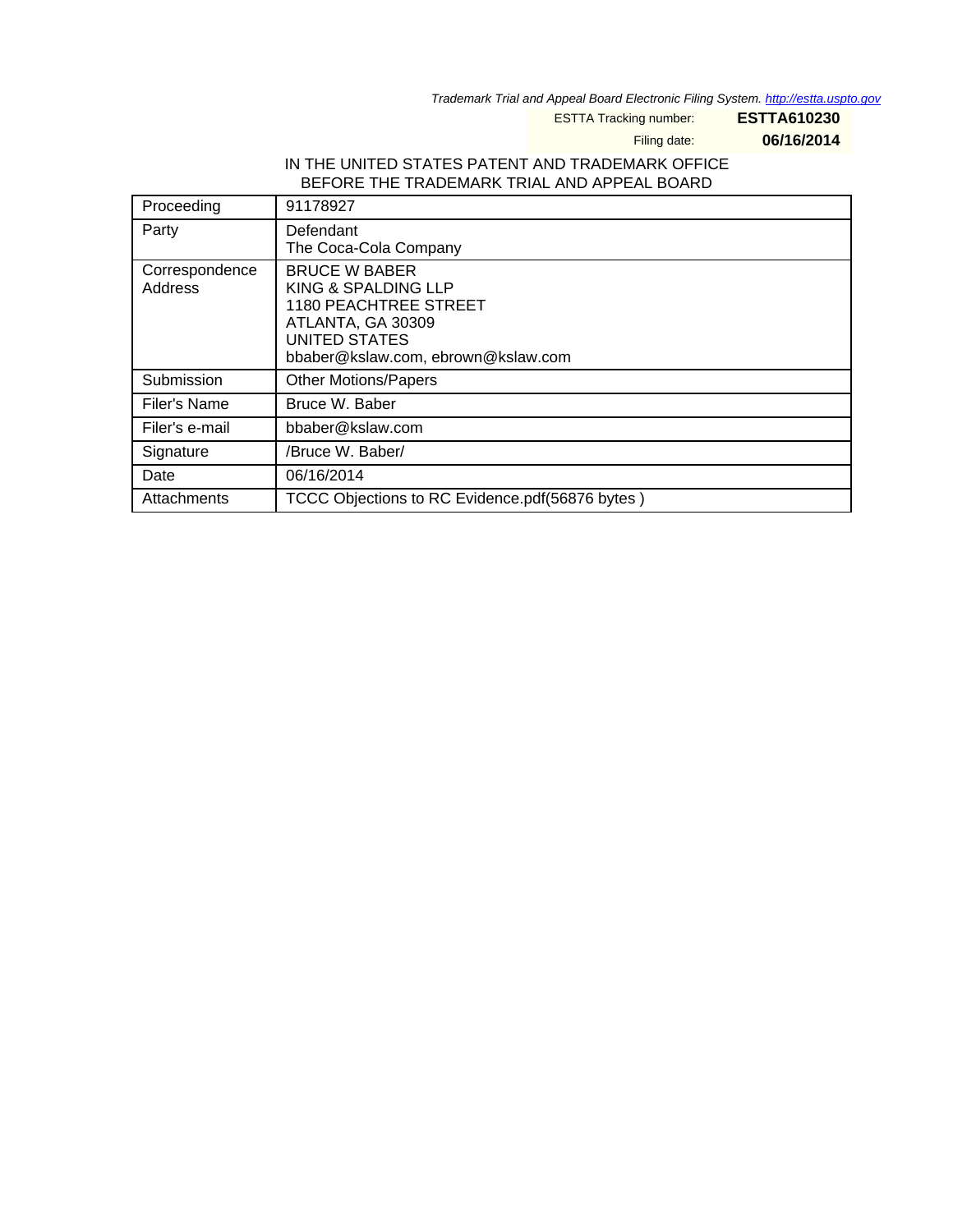Trademark Trial and Appeal Board Electronic Filing System. <http://estta.uspto.gov>

ESTTA Tracking number: **ESTTA610230**

Filing date: **06/16/2014**

#### IN THE UNITED STATES PATENT AND TRADEMARK OFFICE BEFORE THE TRADEMARK TRIAL AND APPEAL BOARD

| Proceeding                | 91178927                                                                                                                                         |
|---------------------------|--------------------------------------------------------------------------------------------------------------------------------------------------|
| Party                     | Defendant<br>The Coca-Cola Company                                                                                                               |
| Correspondence<br>Address | <b>BRUCE W BABER</b><br>KING & SPALDING LLP<br>1180 PEACHTREE STREET<br>ATLANTA, GA 30309<br>UNITED STATES<br>bbaber@kslaw.com, ebrown@kslaw.com |
| Submission                | <b>Other Motions/Papers</b>                                                                                                                      |
| Filer's Name              | Bruce W. Baber                                                                                                                                   |
| Filer's e-mail            | bbaber@kslaw.com                                                                                                                                 |
| Signature                 | /Bruce W. Baber/                                                                                                                                 |
| Date                      | 06/16/2014                                                                                                                                       |
| Attachments               | TCCC Objections to RC Evidence.pdf(56876 bytes)                                                                                                  |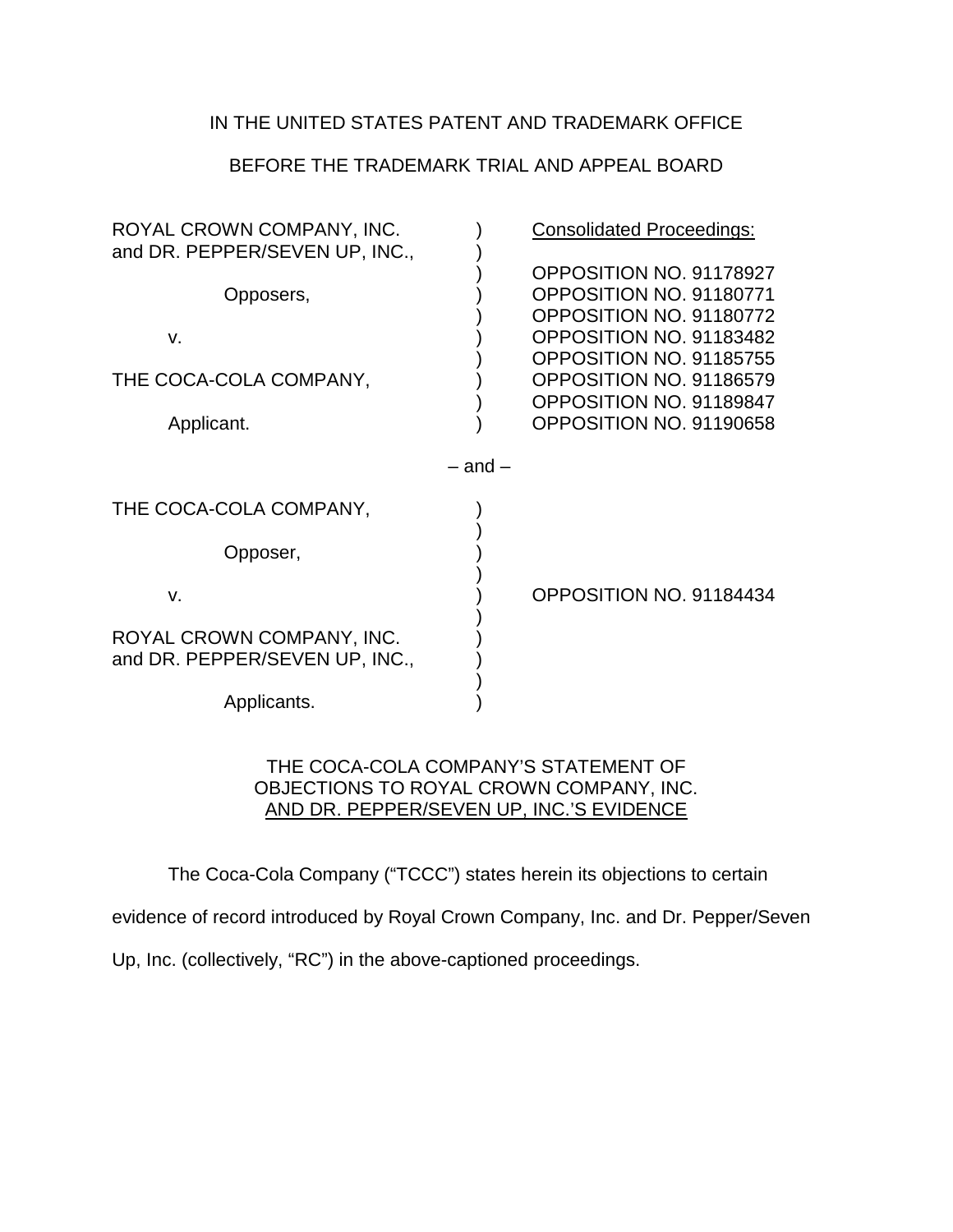#### IN THE UNITED STATES PATENT AND TRADEMARK OFFICE

#### BEFORE THE TRADEMARK TRIAL AND APPEAL BOARD

| ROYAL CROWN COMPANY, INC.<br>and DR. PEPPER/SEVEN UP, INC., |             | <b>Consolidated Proceedings:</b>                                                                         |
|-------------------------------------------------------------|-------------|----------------------------------------------------------------------------------------------------------|
| Opposers,                                                   |             | OPPOSITION NO. 91178927<br>OPPOSITION NO. 91180771<br>OPPOSITION NO. 91180772                            |
| V.<br>THE COCA-COLA COMPANY,                                |             | OPPOSITION NO. 91183482<br>OPPOSITION NO. 91185755<br>OPPOSITION NO. 91186579<br>OPPOSITION NO. 91189847 |
| Applicant.                                                  |             | OPPOSITION NO. 91190658                                                                                  |
|                                                             | $-$ and $-$ |                                                                                                          |
| THE COCA-COLA COMPANY,                                      |             |                                                                                                          |
| Opposer,                                                    |             |                                                                                                          |
| $V_{\cdot}$                                                 |             | OPPOSITION NO. 91184434                                                                                  |
| ROYAL CROWN COMPANY, INC.<br>and DR. PEPPER/SEVEN UP, INC., |             |                                                                                                          |
| Applicants.                                                 |             |                                                                                                          |

#### THE COCA-COLA COMPANY'S STATEMENT OF OBJECTIONS TO ROYAL CROWN COMPANY, INC. AND DR. PEPPER/SEVEN UP, INC.'S EVIDENCE

The Coca-Cola Company ("TCCC") states herein its objections to certain

evidence of record introduced by Royal Crown Company, Inc. and Dr. Pepper/Seven

Up, Inc. (collectively, "RC") in the above-captioned proceedings.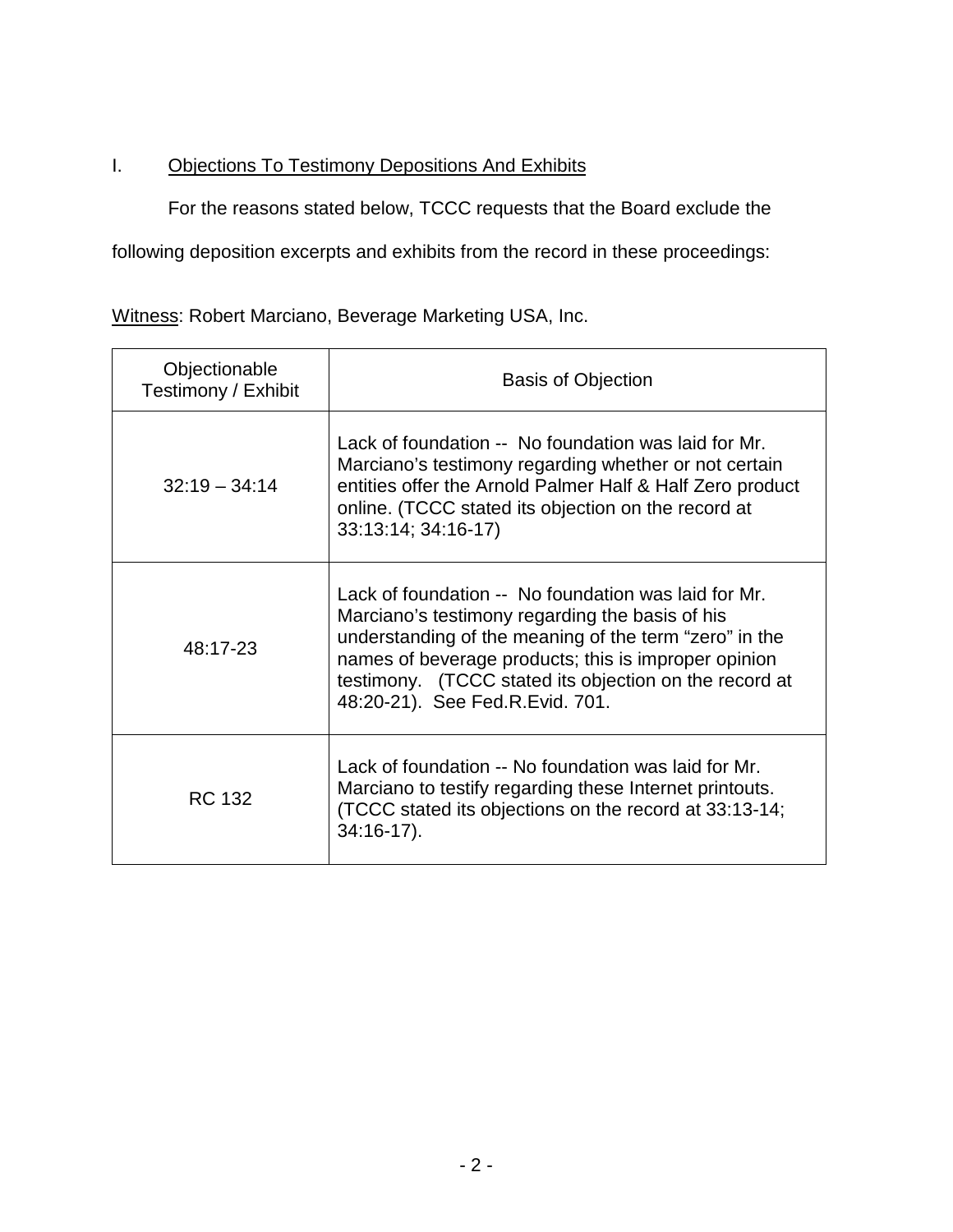## I. Objections To Testimony Depositions And Exhibits

For the reasons stated below, TCCC requests that the Board exclude the

following deposition excerpts and exhibits from the record in these proceedings:

Witness: Robert Marciano, Beverage Marketing USA, Inc.

| Objectionable<br>Testimony / Exhibit | <b>Basis of Objection</b>                                                                                                                                                                                                                                                                                              |
|--------------------------------------|------------------------------------------------------------------------------------------------------------------------------------------------------------------------------------------------------------------------------------------------------------------------------------------------------------------------|
| $32:19 - 34:14$                      | Lack of foundation -- No foundation was laid for Mr.<br>Marciano's testimony regarding whether or not certain<br>entities offer the Arnold Palmer Half & Half Zero product<br>online. (TCCC stated its objection on the record at<br>33:13:14; 34:16-17)                                                               |
| 48:17-23                             | Lack of foundation -- No foundation was laid for Mr.<br>Marciano's testimony regarding the basis of his<br>understanding of the meaning of the term "zero" in the<br>names of beverage products; this is improper opinion<br>testimony. (TCCC stated its objection on the record at<br>48:20-21). See Fed.R.Evid. 701. |
| <b>RC 132</b>                        | Lack of foundation -- No foundation was laid for Mr.<br>Marciano to testify regarding these Internet printouts.<br>(TCCC stated its objections on the record at 33:13-14;<br>$34:16-17$ ).                                                                                                                             |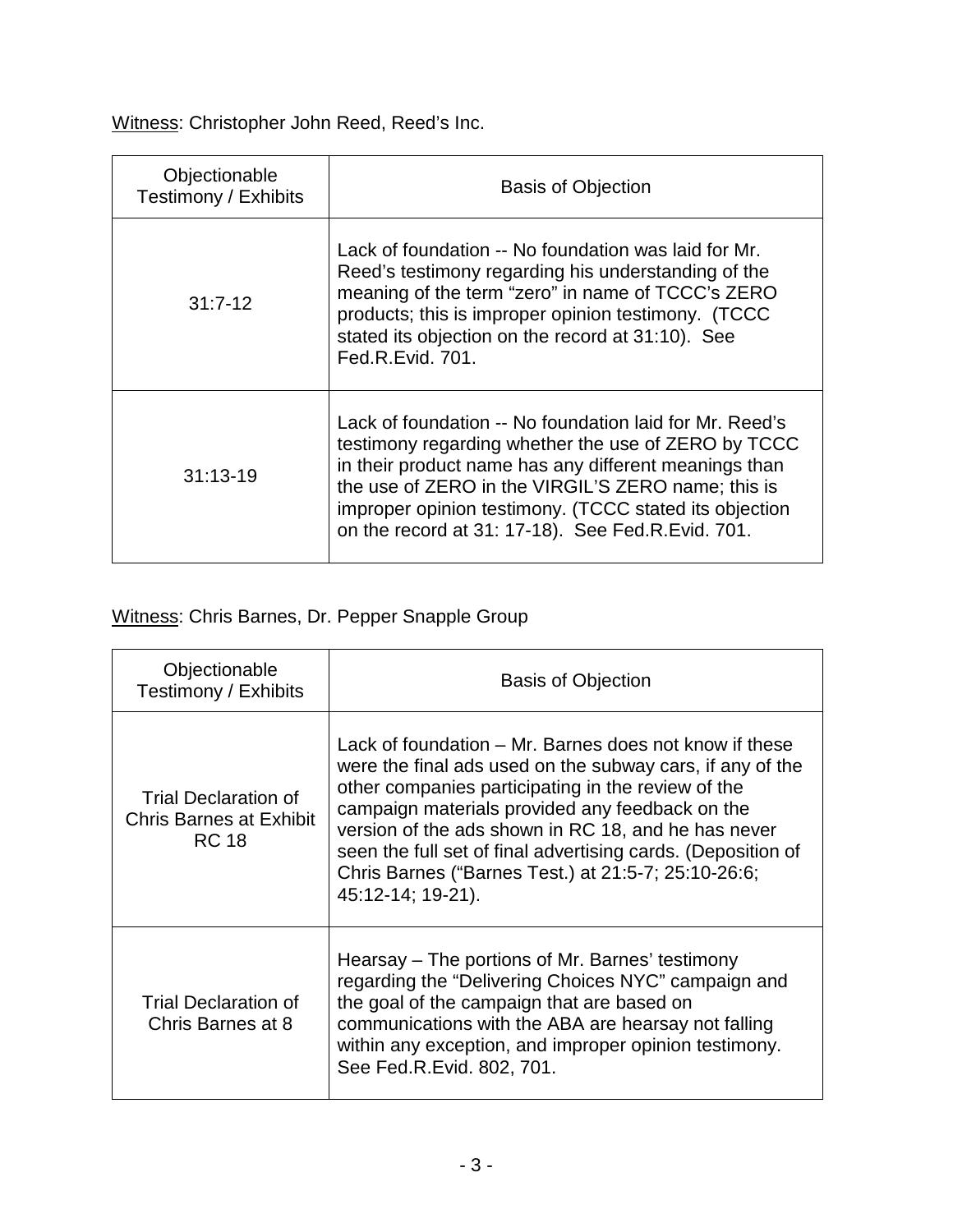Witness: Christopher John Reed, Reed's Inc.

| Objectionable<br>Testimony / Exhibits | <b>Basis of Objection</b>                                                                                                                                                                                                                                                                                                                    |
|---------------------------------------|----------------------------------------------------------------------------------------------------------------------------------------------------------------------------------------------------------------------------------------------------------------------------------------------------------------------------------------------|
| $31:7-12$                             | Lack of foundation -- No foundation was laid for Mr.<br>Reed's testimony regarding his understanding of the<br>meaning of the term "zero" in name of TCCC's ZERO<br>products; this is improper opinion testimony. (TCCC<br>stated its objection on the record at 31:10). See<br>Fed.R.Evid. 701.                                             |
| $31:13-19$                            | Lack of foundation -- No foundation laid for Mr. Reed's<br>testimony regarding whether the use of ZERO by TCCC<br>in their product name has any different meanings than<br>the use of ZERO in the VIRGIL'S ZERO name; this is<br>improper opinion testimony. (TCCC stated its objection<br>on the record at 31: 17-18). See Fed.R.Evid. 701. |

# Witness: Chris Barnes, Dr. Pepper Snapple Group

| Objectionable<br>Testimony / Exhibits                                  | <b>Basis of Objection</b>                                                                                                                                                                                                                                                                                                                                                                                                       |
|------------------------------------------------------------------------|---------------------------------------------------------------------------------------------------------------------------------------------------------------------------------------------------------------------------------------------------------------------------------------------------------------------------------------------------------------------------------------------------------------------------------|
| Trial Declaration of<br><b>Chris Barnes at Exhibit</b><br><b>RC 18</b> | Lack of foundation – Mr. Barnes does not know if these<br>were the final ads used on the subway cars, if any of the<br>other companies participating in the review of the<br>campaign materials provided any feedback on the<br>version of the ads shown in RC 18, and he has never<br>seen the full set of final advertising cards. (Deposition of<br>Chris Barnes ("Barnes Test.) at 21:5-7; 25:10-26:6;<br>45:12-14; 19-21). |
| Trial Declaration of<br>Chris Barnes at 8                              | Hearsay – The portions of Mr. Barnes' testimony<br>regarding the "Delivering Choices NYC" campaign and<br>the goal of the campaign that are based on<br>communications with the ABA are hearsay not falling<br>within any exception, and improper opinion testimony.<br>See Fed.R.Evid. 802, 701.                                                                                                                               |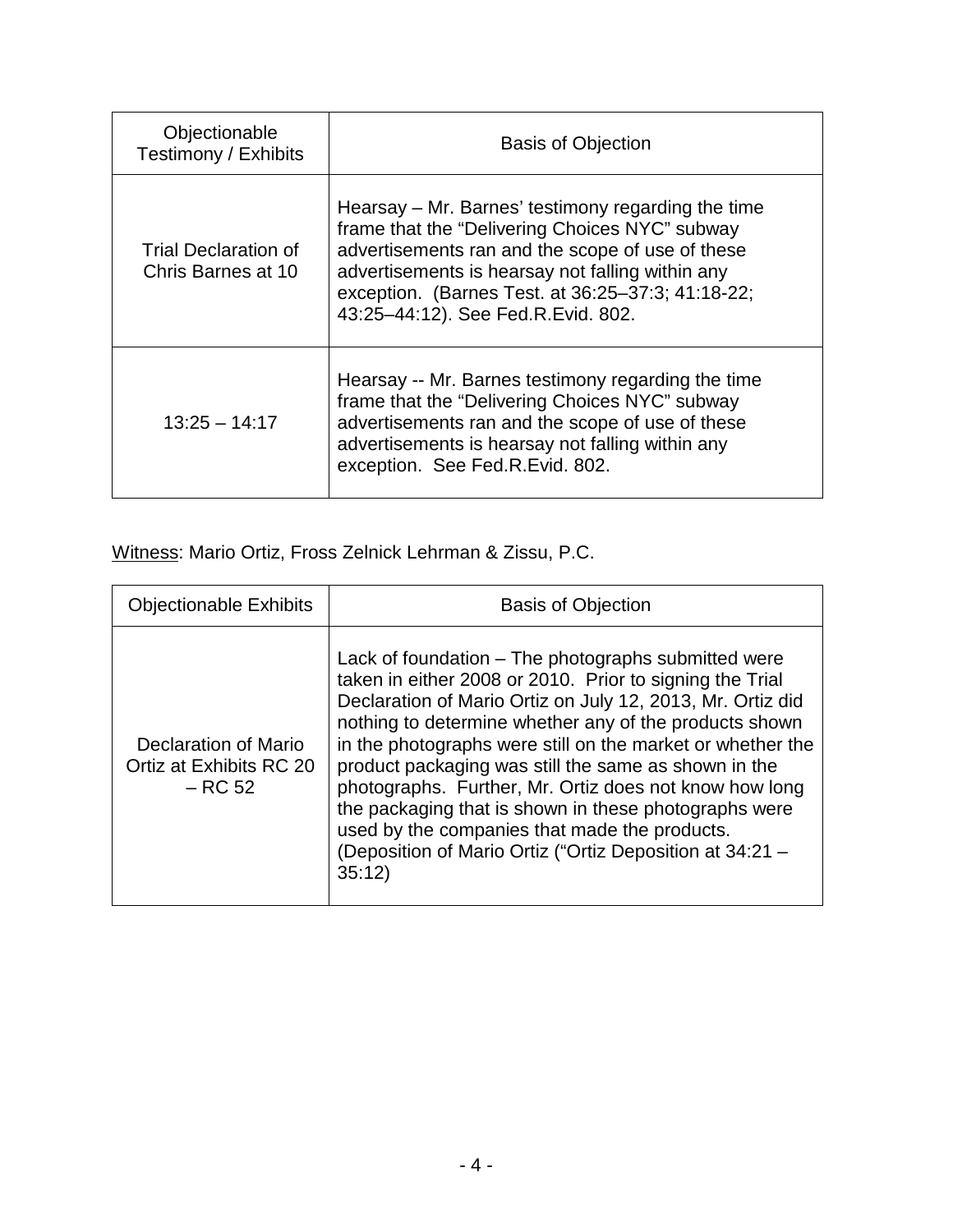| Objectionable<br>Testimony / Exhibits      | <b>Basis of Objection</b>                                                                                                                                                                                                                                                                               |
|--------------------------------------------|---------------------------------------------------------------------------------------------------------------------------------------------------------------------------------------------------------------------------------------------------------------------------------------------------------|
| Trial Declaration of<br>Chris Barnes at 10 | Hearsay – Mr. Barnes' testimony regarding the time<br>frame that the "Delivering Choices NYC" subway<br>advertisements ran and the scope of use of these<br>advertisements is hearsay not falling within any<br>exception. (Barnes Test. at 36:25-37:3; 41:18-22;<br>43:25-44:12). See Fed.R.Evid. 802. |
| $13:25 - 14:17$                            | Hearsay -- Mr. Barnes testimony regarding the time<br>frame that the "Delivering Choices NYC" subway<br>advertisements ran and the scope of use of these<br>advertisements is hearsay not falling within any<br>exception. See Fed.R.Evid. 802.                                                         |

Witness: Mario Ortiz, Fross Zelnick Lehrman & Zissu, P.C.

| <b>Objectionable Exhibits</b>                                | <b>Basis of Objection</b>                                                                                                                                                                                                                                                                                                                                                                                                                                                                                                                                                                              |
|--------------------------------------------------------------|--------------------------------------------------------------------------------------------------------------------------------------------------------------------------------------------------------------------------------------------------------------------------------------------------------------------------------------------------------------------------------------------------------------------------------------------------------------------------------------------------------------------------------------------------------------------------------------------------------|
| Declaration of Mario<br>Ortiz at Exhibits RC 20<br>$-$ RC 52 | Lack of foundation – The photographs submitted were<br>taken in either 2008 or 2010. Prior to signing the Trial<br>Declaration of Mario Ortiz on July 12, 2013, Mr. Ortiz did<br>nothing to determine whether any of the products shown<br>in the photographs were still on the market or whether the<br>product packaging was still the same as shown in the<br>photographs. Further, Mr. Ortiz does not know how long<br>the packaging that is shown in these photographs were<br>used by the companies that made the products.<br>(Deposition of Mario Ortiz ("Ortiz Deposition at 34:21 -<br>35:12 |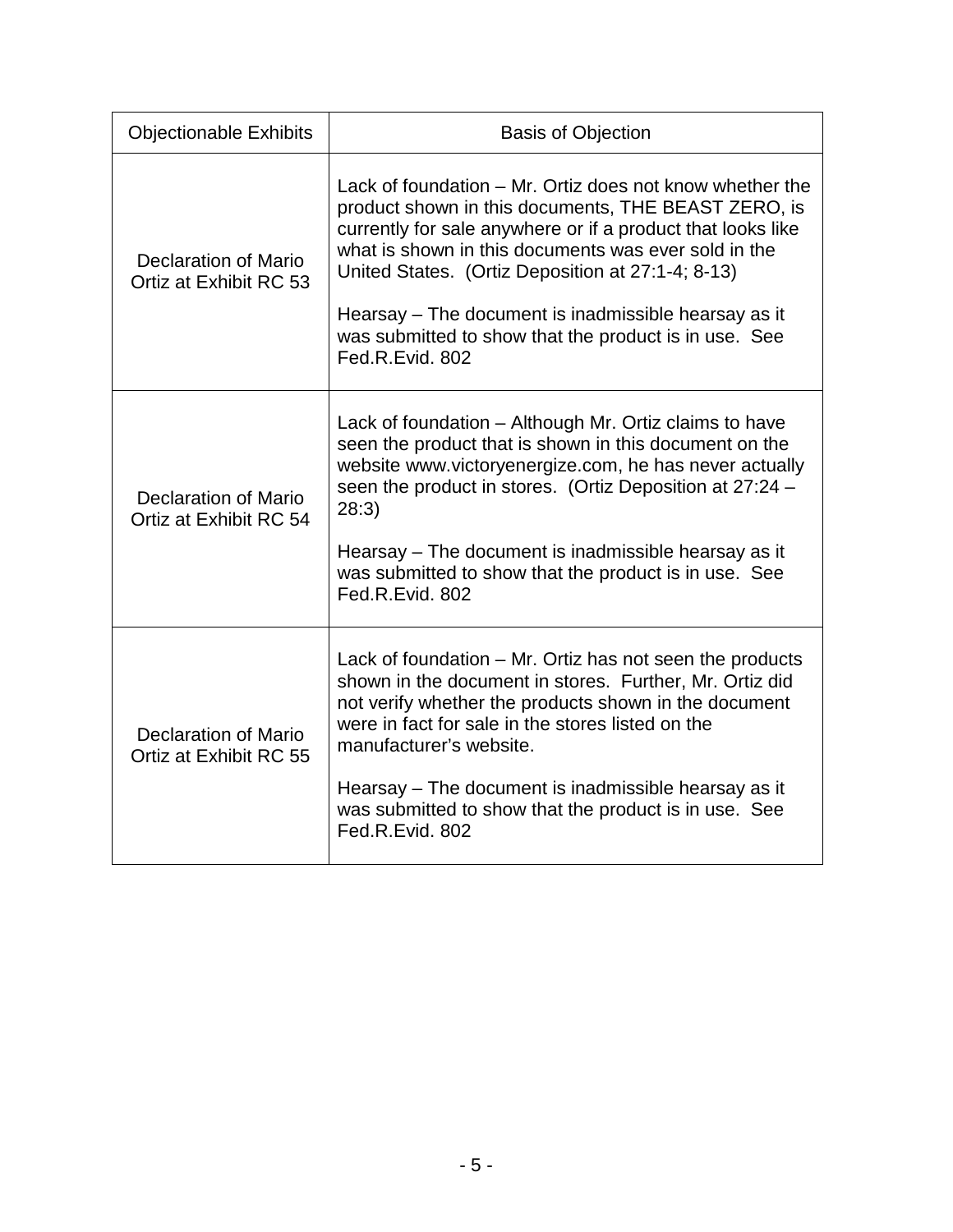| <b>Objectionable Exhibits</b>                         | <b>Basis of Objection</b>                                                                                                                                                                                                                                                                                                                                                                                                       |
|-------------------------------------------------------|---------------------------------------------------------------------------------------------------------------------------------------------------------------------------------------------------------------------------------------------------------------------------------------------------------------------------------------------------------------------------------------------------------------------------------|
| <b>Declaration of Mario</b><br>Ortiz at Exhibit RC 53 | Lack of foundation - Mr. Ortiz does not know whether the<br>product shown in this documents, THE BEAST ZERO, is<br>currently for sale anywhere or if a product that looks like<br>what is shown in this documents was ever sold in the<br>United States. (Ortiz Deposition at 27:1-4; 8-13)<br>Hearsay – The document is inadmissible hearsay as it<br>was submitted to show that the product is in use. See<br>Fed.R.Evid. 802 |
| <b>Declaration of Mario</b><br>Ortiz at Exhibit RC 54 | Lack of foundation – Although Mr. Ortiz claims to have<br>seen the product that is shown in this document on the<br>website www.victoryenergize.com, he has never actually<br>seen the product in stores. (Ortiz Deposition at 27:24 -<br>28:3)<br>Hearsay – The document is inadmissible hearsay as it<br>was submitted to show that the product is in use. See<br>Fed.R.Evid. 802                                             |
| Declaration of Mario<br>Ortiz at Exhibit RC 55        | Lack of foundation – Mr. Ortiz has not seen the products<br>shown in the document in stores. Further, Mr. Ortiz did<br>not verify whether the products shown in the document<br>were in fact for sale in the stores listed on the<br>manufacturer's website.<br>Hearsay – The document is inadmissible hearsay as it<br>was submitted to show that the product is in use. See<br>Fed.R.Evid. 802                                |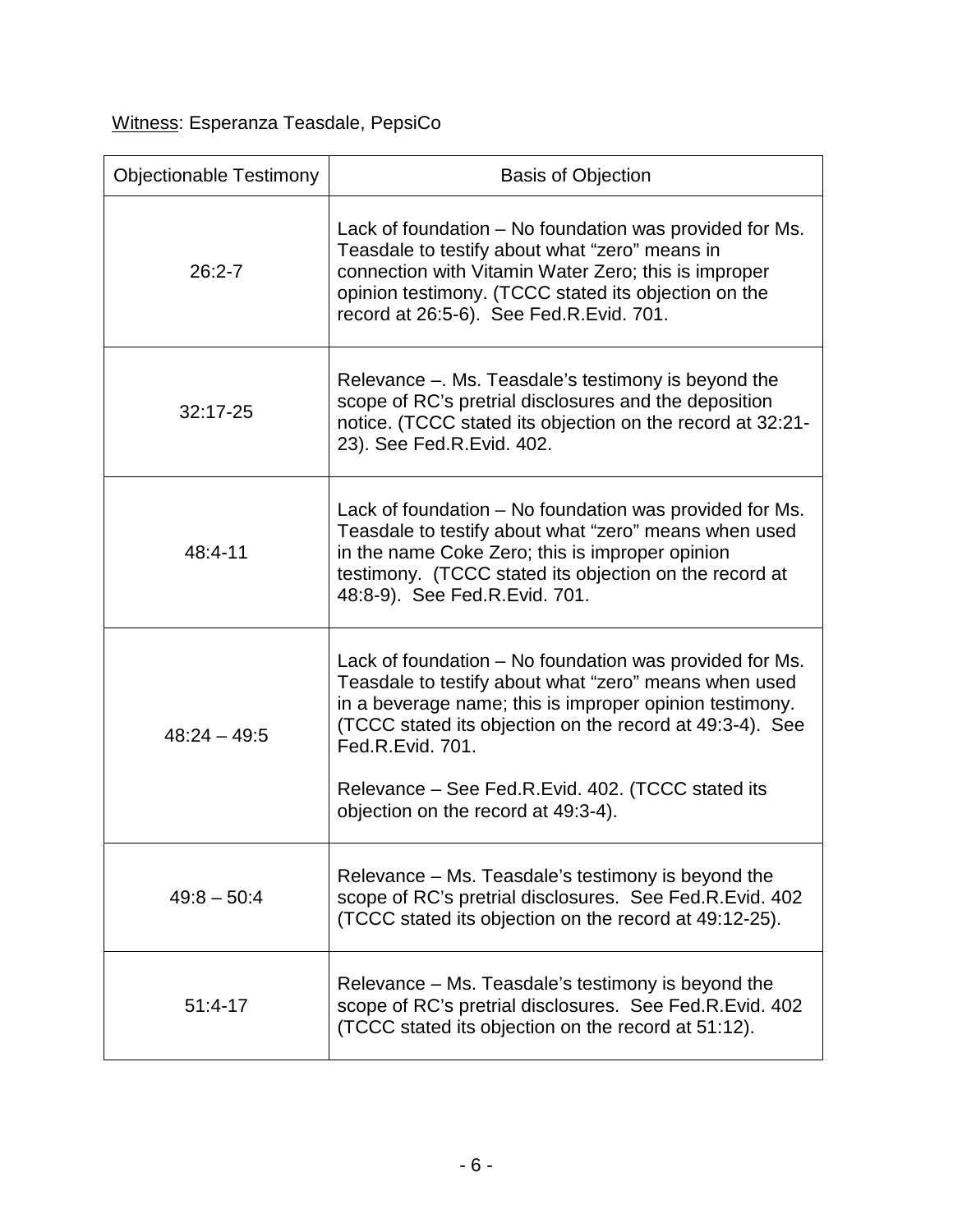Witness: Esperanza Teasdale, PepsiCo

| <b>Objectionable Testimony</b> | <b>Basis of Objection</b>                                                                                                                                                                                                                                                                                                                               |
|--------------------------------|---------------------------------------------------------------------------------------------------------------------------------------------------------------------------------------------------------------------------------------------------------------------------------------------------------------------------------------------------------|
| $26:2 - 7$                     | Lack of foundation - No foundation was provided for Ms.<br>Teasdale to testify about what "zero" means in<br>connection with Vitamin Water Zero; this is improper<br>opinion testimony. (TCCC stated its objection on the<br>record at 26:5-6). See Fed.R.Evid. 701.                                                                                    |
| 32:17-25                       | Relevance –. Ms. Teasdale's testimony is beyond the<br>scope of RC's pretrial disclosures and the deposition<br>notice. (TCCC stated its objection on the record at 32:21-<br>23). See Fed.R.Evid. 402.                                                                                                                                                 |
| 48:4-11                        | Lack of foundation – No foundation was provided for Ms.<br>Teasdale to testify about what "zero" means when used<br>in the name Coke Zero; this is improper opinion<br>testimony. (TCCC stated its objection on the record at<br>48:8-9). See Fed.R.Evid. 701.                                                                                          |
| $48:24 - 49:5$                 | Lack of foundation – No foundation was provided for Ms.<br>Teasdale to testify about what "zero" means when used<br>in a beverage name; this is improper opinion testimony.<br>(TCCC stated its objection on the record at 49:3-4). See<br>Fed.R.Evid. 701.<br>Relevance – See Fed.R.Evid. 402. (TCCC stated its<br>objection on the record at 49:3-4). |
| $49:8 - 50:4$                  | Relevance – Ms. Teasdale's testimony is beyond the<br>scope of RC's pretrial disclosures. See Fed.R.Evid. 402<br>(TCCC stated its objection on the record at 49:12-25).                                                                                                                                                                                 |
| $51:4-17$                      | Relevance - Ms. Teasdale's testimony is beyond the<br>scope of RC's pretrial disclosures. See Fed.R.Evid. 402<br>(TCCC stated its objection on the record at 51:12).                                                                                                                                                                                    |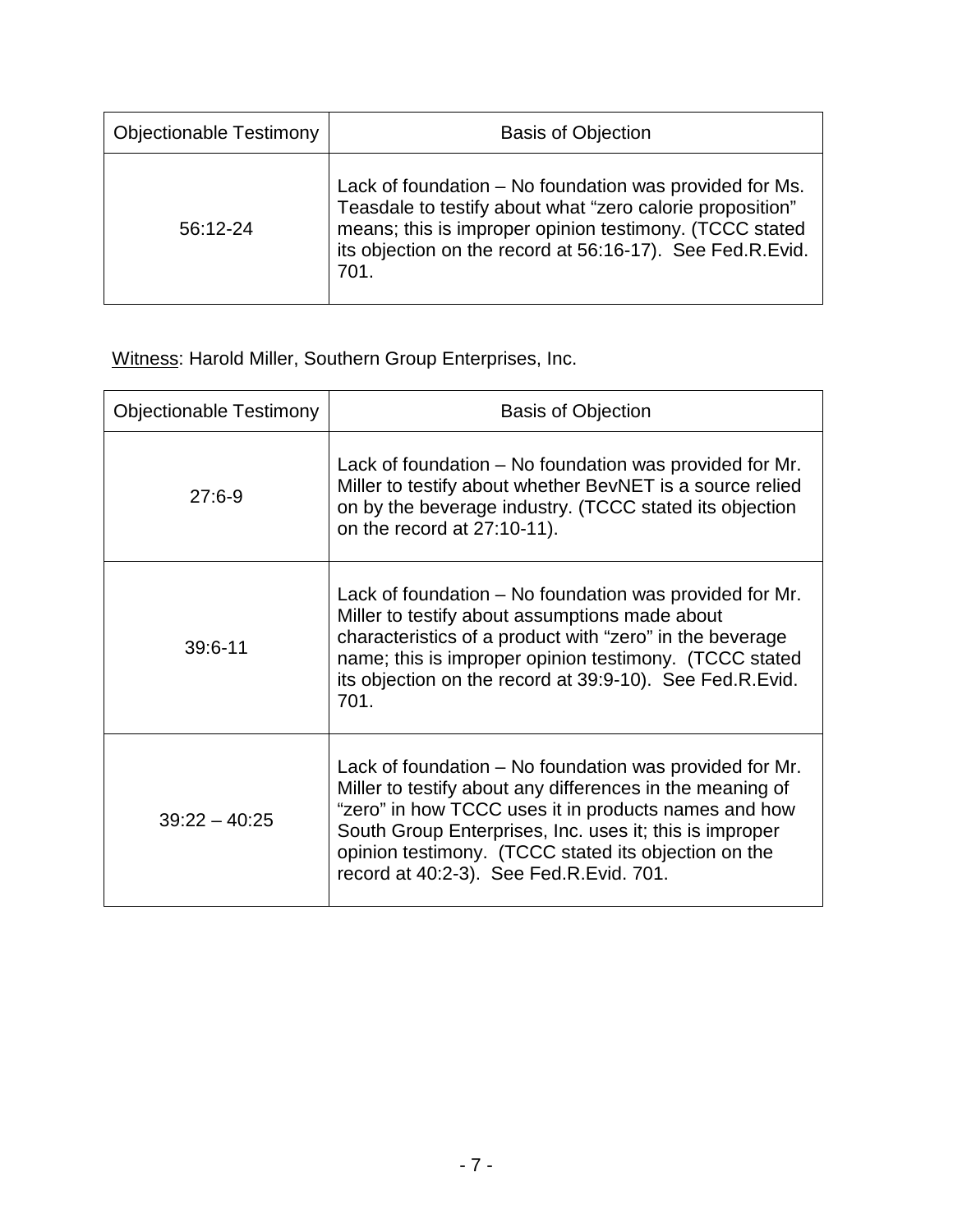| <b>Objectionable Testimony</b> | <b>Basis of Objection</b>                                                                                                                                                                                                                            |
|--------------------------------|------------------------------------------------------------------------------------------------------------------------------------------------------------------------------------------------------------------------------------------------------|
| 56:12-24                       | Lack of foundation – No foundation was provided for Ms.<br>Teasdale to testify about what "zero calorie proposition"<br>means; this is improper opinion testimony. (TCCC stated<br>its objection on the record at 56:16-17). See Fed.R.Evid.<br>701. |

Witness: Harold Miller, Southern Group Enterprises, Inc.

| <b>Objectionable Testimony</b> | <b>Basis of Objection</b>                                                                                                                                                                                                                                                                                                                  |
|--------------------------------|--------------------------------------------------------------------------------------------------------------------------------------------------------------------------------------------------------------------------------------------------------------------------------------------------------------------------------------------|
| $27:6-9$                       | Lack of foundation – No foundation was provided for Mr.<br>Miller to testify about whether BevNET is a source relied<br>on by the beverage industry. (TCCC stated its objection<br>on the record at 27:10-11).                                                                                                                             |
| $39:6 - 11$                    | Lack of foundation – No foundation was provided for Mr.<br>Miller to testify about assumptions made about<br>characteristics of a product with "zero" in the beverage<br>name; this is improper opinion testimony. (TCCC stated<br>its objection on the record at 39:9-10). See Fed.R.Evid.<br>701.                                        |
| $39:22 - 40:25$                | Lack of foundation – No foundation was provided for Mr.<br>Miller to testify about any differences in the meaning of<br>"zero" in how TCCC uses it in products names and how<br>South Group Enterprises, Inc. uses it; this is improper<br>opinion testimony. (TCCC stated its objection on the<br>record at 40:2-3). See Fed.R.Evid. 701. |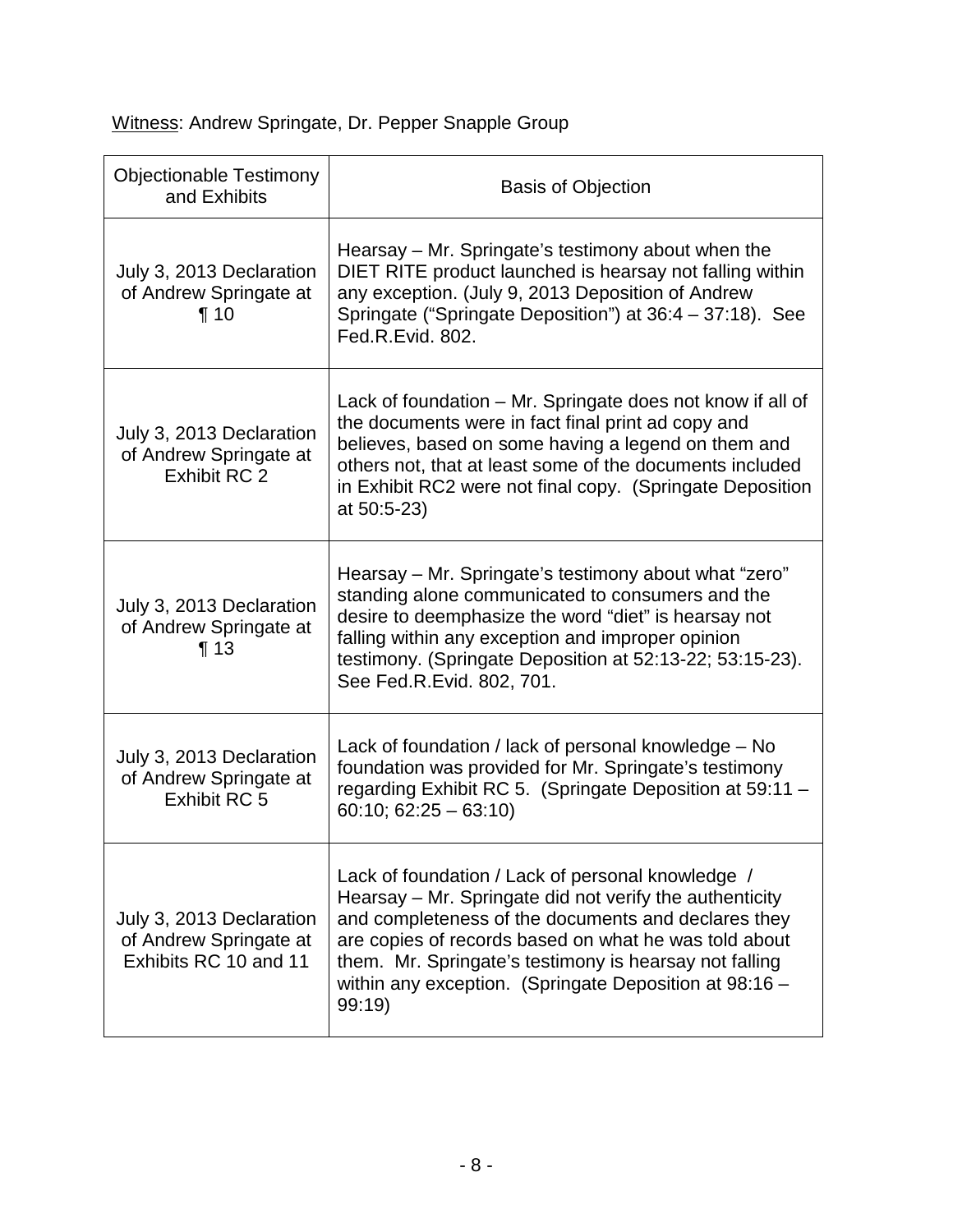Witness: Andrew Springate, Dr. Pepper Snapple Group

| <b>Objectionable Testimony</b><br>and Exhibits                              | <b>Basis of Objection</b>                                                                                                                                                                                                                                                                                                                                 |
|-----------------------------------------------------------------------------|-----------------------------------------------------------------------------------------------------------------------------------------------------------------------------------------------------------------------------------------------------------------------------------------------------------------------------------------------------------|
| July 3, 2013 Declaration<br>of Andrew Springate at<br>$\P$ 10               | Hearsay – Mr. Springate's testimony about when the<br>DIET RITE product launched is hearsay not falling within<br>any exception. (July 9, 2013 Deposition of Andrew<br>Springate ("Springate Deposition") at 36:4 - 37:18). See<br>Fed.R.Evid. 802.                                                                                                       |
| July 3, 2013 Declaration<br>of Andrew Springate at<br>Exhibit RC 2          | Lack of foundation – Mr. Springate does not know if all of<br>the documents were in fact final print ad copy and<br>believes, based on some having a legend on them and<br>others not, that at least some of the documents included<br>in Exhibit RC2 were not final copy. (Springate Deposition<br>at 50:5-23)                                           |
| July 3, 2013 Declaration<br>of Andrew Springate at<br>$\P$ 13               | Hearsay - Mr. Springate's testimony about what "zero"<br>standing alone communicated to consumers and the<br>desire to deemphasize the word "diet" is hearsay not<br>falling within any exception and improper opinion<br>testimony. (Springate Deposition at 52:13-22; 53:15-23).<br>See Fed.R.Evid. 802, 701.                                           |
| July 3, 2013 Declaration<br>of Andrew Springate at<br>Exhibit RC 5          | Lack of foundation / lack of personal knowledge – No<br>foundation was provided for Mr. Springate's testimony<br>regarding Exhibit RC 5. (Springate Deposition at 59:11 -<br>$60:10; 62:25 - 63:10$                                                                                                                                                       |
| July 3, 2013 Declaration<br>of Andrew Springate at<br>Exhibits RC 10 and 11 | Lack of foundation / Lack of personal knowledge /<br>Hearsay – Mr. Springate did not verify the authenticity<br>and completeness of the documents and declares they<br>are copies of records based on what he was told about<br>them. Mr. Springate's testimony is hearsay not falling<br>within any exception. (Springate Deposition at 98:16 -<br>99:19 |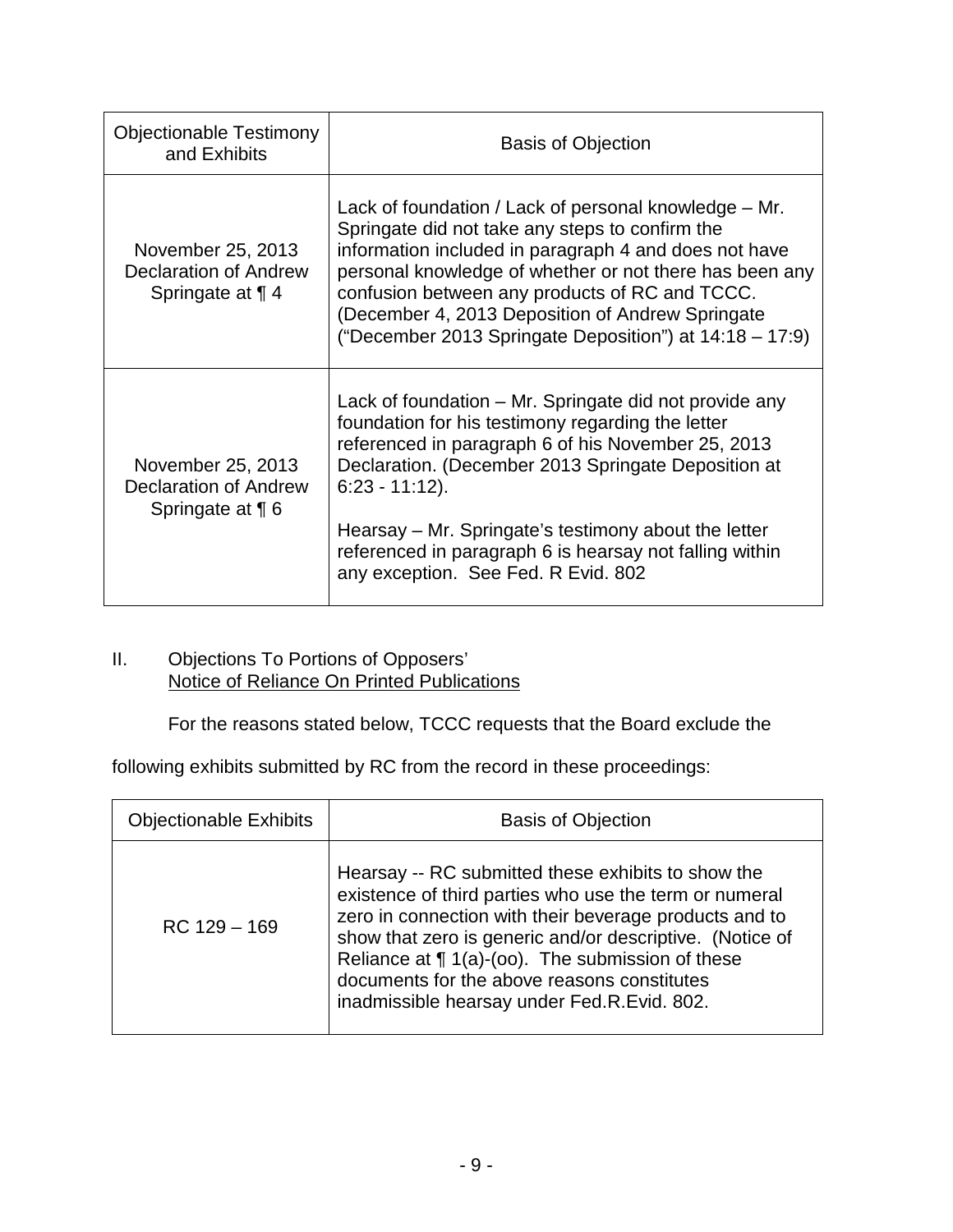| <b>Objectionable Testimony</b><br>and Exhibits                        | <b>Basis of Objection</b>                                                                                                                                                                                                                                                                                                                                                                               |  |
|-----------------------------------------------------------------------|---------------------------------------------------------------------------------------------------------------------------------------------------------------------------------------------------------------------------------------------------------------------------------------------------------------------------------------------------------------------------------------------------------|--|
| November 25, 2013<br><b>Declaration of Andrew</b><br>Springate at 1 4 | Lack of foundation / Lack of personal knowledge – Mr.<br>Springate did not take any steps to confirm the<br>information included in paragraph 4 and does not have<br>personal knowledge of whether or not there has been any<br>confusion between any products of RC and TCCC.<br>December 4, 2013 Deposition of Andrew Springate<br>("December 2013 Springate Deposition") at 14:18 - 17:9)            |  |
| November 25, 2013<br>Declaration of Andrew<br>Springate at $\P$ 6     | Lack of foundation – Mr. Springate did not provide any<br>foundation for his testimony regarding the letter<br>referenced in paragraph 6 of his November 25, 2013<br>Declaration. (December 2013 Springate Deposition at<br>$6:23 - 11:12$ ).<br>Hearsay – Mr. Springate's testimony about the letter<br>referenced in paragraph 6 is hearsay not falling within<br>any exception. See Fed. R Evid. 802 |  |

#### II. Objections To Portions of Opposers' Notice of Reliance On Printed Publications

For the reasons stated below, TCCC requests that the Board exclude the

following exhibits submitted by RC from the record in these proceedings:

| <b>Objectionable Exhibits</b> | <b>Basis of Objection</b>                                                                                                                                                                                                                                                                                                                                                               |  |
|-------------------------------|-----------------------------------------------------------------------------------------------------------------------------------------------------------------------------------------------------------------------------------------------------------------------------------------------------------------------------------------------------------------------------------------|--|
| $RC$ 129 $-$ 169              | Hearsay -- RC submitted these exhibits to show the<br>existence of third parties who use the term or numeral<br>zero in connection with their beverage products and to<br>show that zero is generic and/or descriptive. (Notice of<br>Reliance at $\P$ 1(a)-(oo). The submission of these<br>documents for the above reasons constitutes<br>inadmissible hearsay under Fed.R.Evid. 802. |  |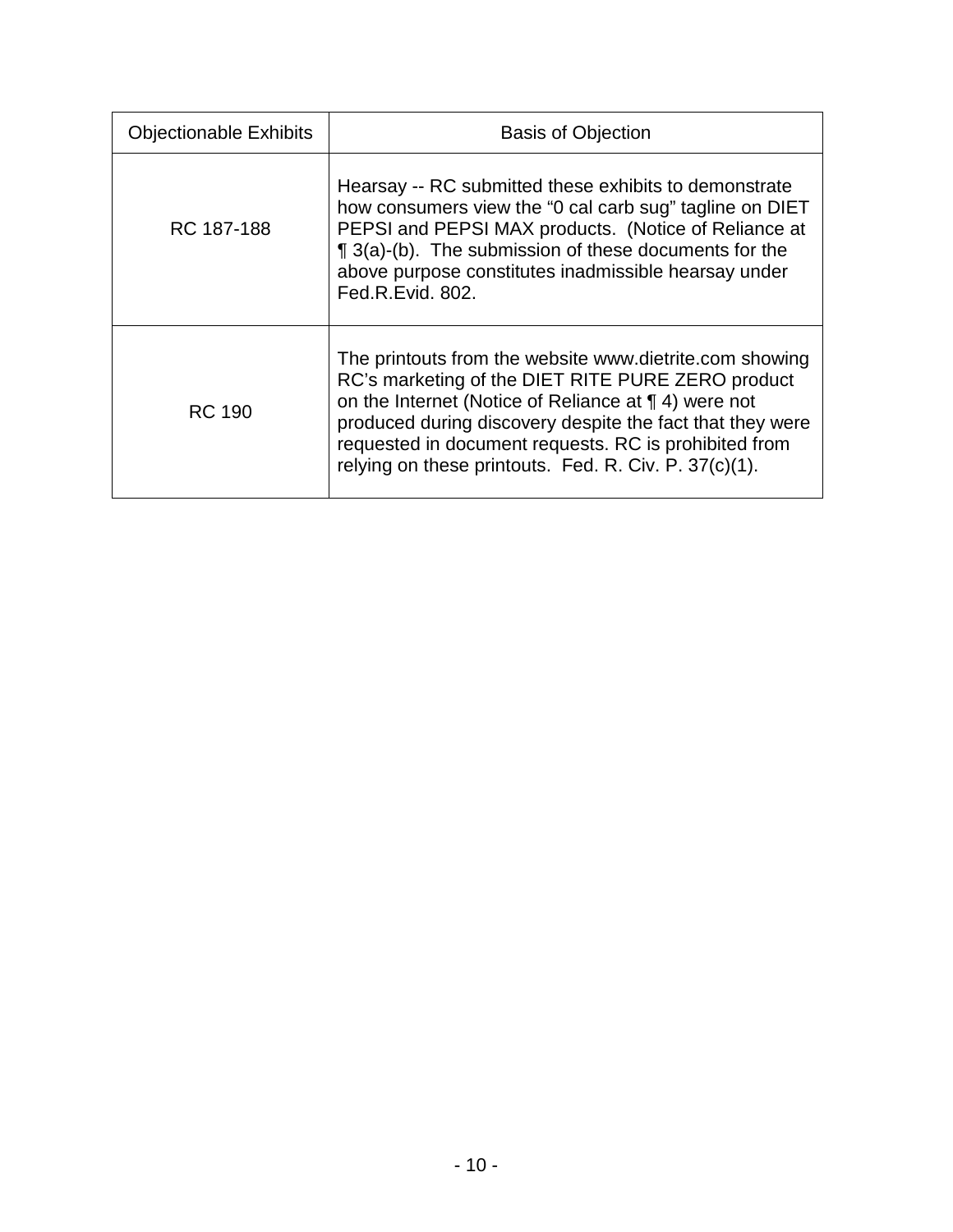| <b>Objectionable Exhibits</b> | <b>Basis of Objection</b>                                                                                                                                                                                                                                                                                                                           |  |  |
|-------------------------------|-----------------------------------------------------------------------------------------------------------------------------------------------------------------------------------------------------------------------------------------------------------------------------------------------------------------------------------------------------|--|--|
| RC 187-188                    | Hearsay -- RC submitted these exhibits to demonstrate<br>how consumers view the "0 cal carb sug" tagline on DIET<br>PEPSI and PEPSI MAX products. (Notice of Reliance at<br>¶ 3(a)-(b). The submission of these documents for the<br>above purpose constitutes inadmissible hearsay under<br>Fed.R.Evid. 802.                                       |  |  |
| RC 190                        | The printouts from the website www.dietrite.com showing<br>RC's marketing of the DIET RITE PURE ZERO product<br>on the Internet (Notice of Reliance at ¶ 4) were not<br>produced during discovery despite the fact that they were<br>requested in document requests. RC is prohibited from<br>relying on these printouts. Fed. R. Civ. P. 37(c)(1). |  |  |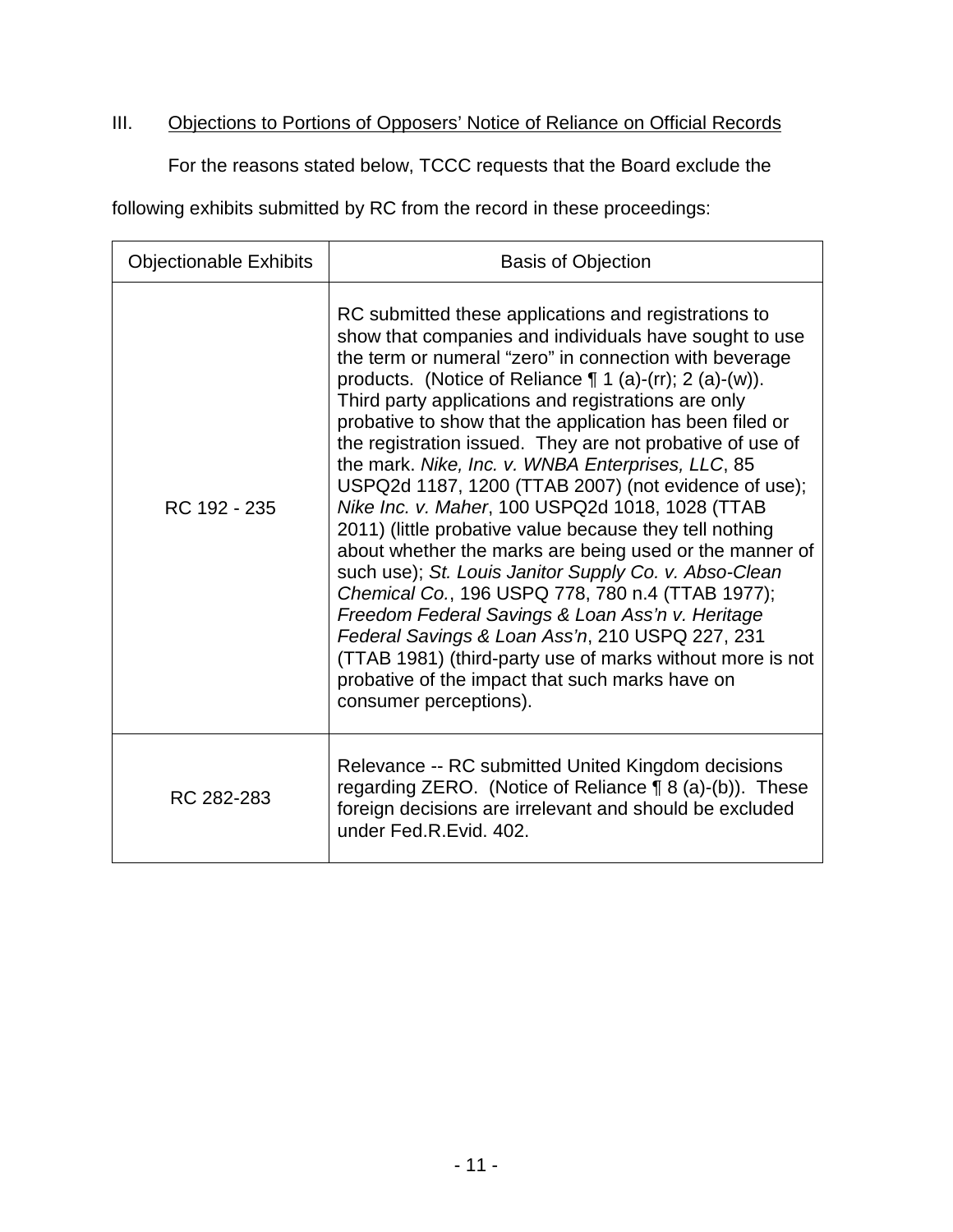## III. **Objections to Portions of Opposers' Notice of Reliance on Official Records**

For the reasons stated below, TCCC requests that the Board exclude the

following exhibits submitted by RC from the record in these proceedings:

| <b>Objectionable Exhibits</b> | <b>Basis of Objection</b>                                                                                                                                                                                                                                                                                                                                                                                                                                                                                                                                                                                                                                                                                                                                                                                                                                                                                                                                                                                                                                                  |  |  |
|-------------------------------|----------------------------------------------------------------------------------------------------------------------------------------------------------------------------------------------------------------------------------------------------------------------------------------------------------------------------------------------------------------------------------------------------------------------------------------------------------------------------------------------------------------------------------------------------------------------------------------------------------------------------------------------------------------------------------------------------------------------------------------------------------------------------------------------------------------------------------------------------------------------------------------------------------------------------------------------------------------------------------------------------------------------------------------------------------------------------|--|--|
| RC 192 - 235                  | RC submitted these applications and registrations to<br>show that companies and individuals have sought to use<br>the term or numeral "zero" in connection with beverage<br>products. (Notice of Reliance $\P$ 1 (a)-(rr); 2 (a)-(w)).<br>Third party applications and registrations are only<br>probative to show that the application has been filed or<br>the registration issued. They are not probative of use of<br>the mark. Nike, Inc. v. WNBA Enterprises, LLC, 85<br>USPQ2d 1187, 1200 (TTAB 2007) (not evidence of use);<br>Nike Inc. v. Maher, 100 USPQ2d 1018, 1028 (TTAB<br>2011) (little probative value because they tell nothing<br>about whether the marks are being used or the manner of<br>such use); St. Louis Janitor Supply Co. v. Abso-Clean<br>Chemical Co., 196 USPQ 778, 780 n.4 (TTAB 1977);<br>Freedom Federal Savings & Loan Ass'n v. Heritage<br>Federal Savings & Loan Ass'n, 210 USPQ 227, 231<br>(TTAB 1981) (third-party use of marks without more is not<br>probative of the impact that such marks have on<br>consumer perceptions). |  |  |
| RC 282-283                    | Relevance -- RC submitted United Kingdom decisions<br>regarding ZERO. (Notice of Reliance ¶ 8 (a)-(b)). These<br>foreign decisions are irrelevant and should be excluded<br>under Fed.R.Evid. 402.                                                                                                                                                                                                                                                                                                                                                                                                                                                                                                                                                                                                                                                                                                                                                                                                                                                                         |  |  |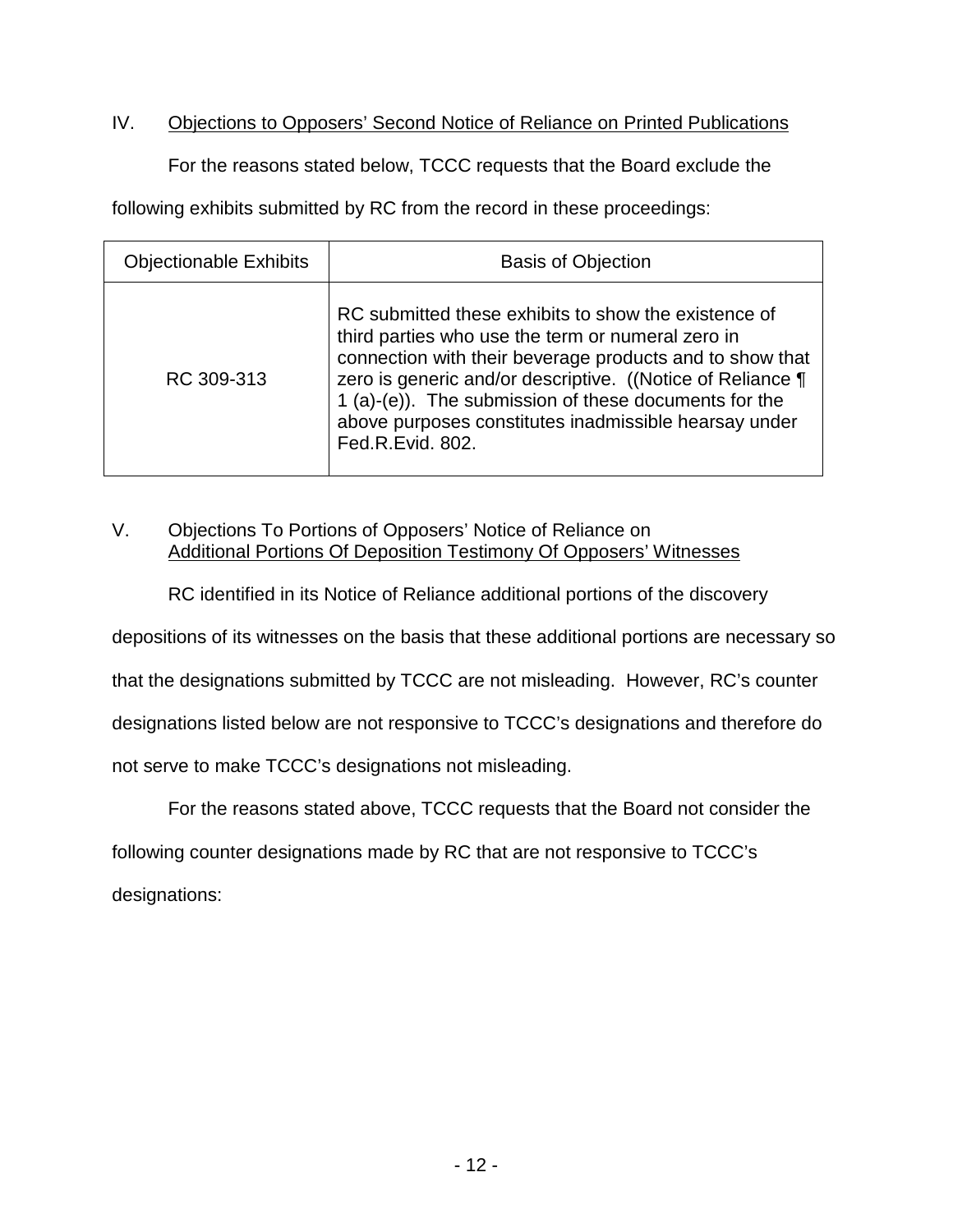### IV. Objections to Opposers' Second Notice of Reliance on Printed Publications

For the reasons stated below, TCCC requests that the Board exclude the

following exhibits submitted by RC from the record in these proceedings:

| <b>Objectionable Exhibits</b> | <b>Basis of Objection</b>                                                                                                                                                                                                                                                                                                                                                 |  |
|-------------------------------|---------------------------------------------------------------------------------------------------------------------------------------------------------------------------------------------------------------------------------------------------------------------------------------------------------------------------------------------------------------------------|--|
| RC 309-313                    | RC submitted these exhibits to show the existence of<br>third parties who use the term or numeral zero in<br>connection with their beverage products and to show that<br>zero is generic and/or descriptive. ((Notice of Reliance ¶<br>1 (a)-(e)). The submission of these documents for the<br>above purposes constitutes inadmissible hearsay under<br>Fed.R.Evid. 802. |  |

## V. Objections To Portions of Opposers' Notice of Reliance on Additional Portions Of Deposition Testimony Of Opposers' Witnesses

RC identified in its Notice of Reliance additional portions of the discovery

depositions of its witnesses on the basis that these additional portions are necessary so

that the designations submitted by TCCC are not misleading. However, RC's counter

designations listed below are not responsive to TCCC's designations and therefore do

not serve to make TCCC's designations not misleading.

For the reasons stated above, TCCC requests that the Board not consider the

following counter designations made by RC that are not responsive to TCCC's

designations: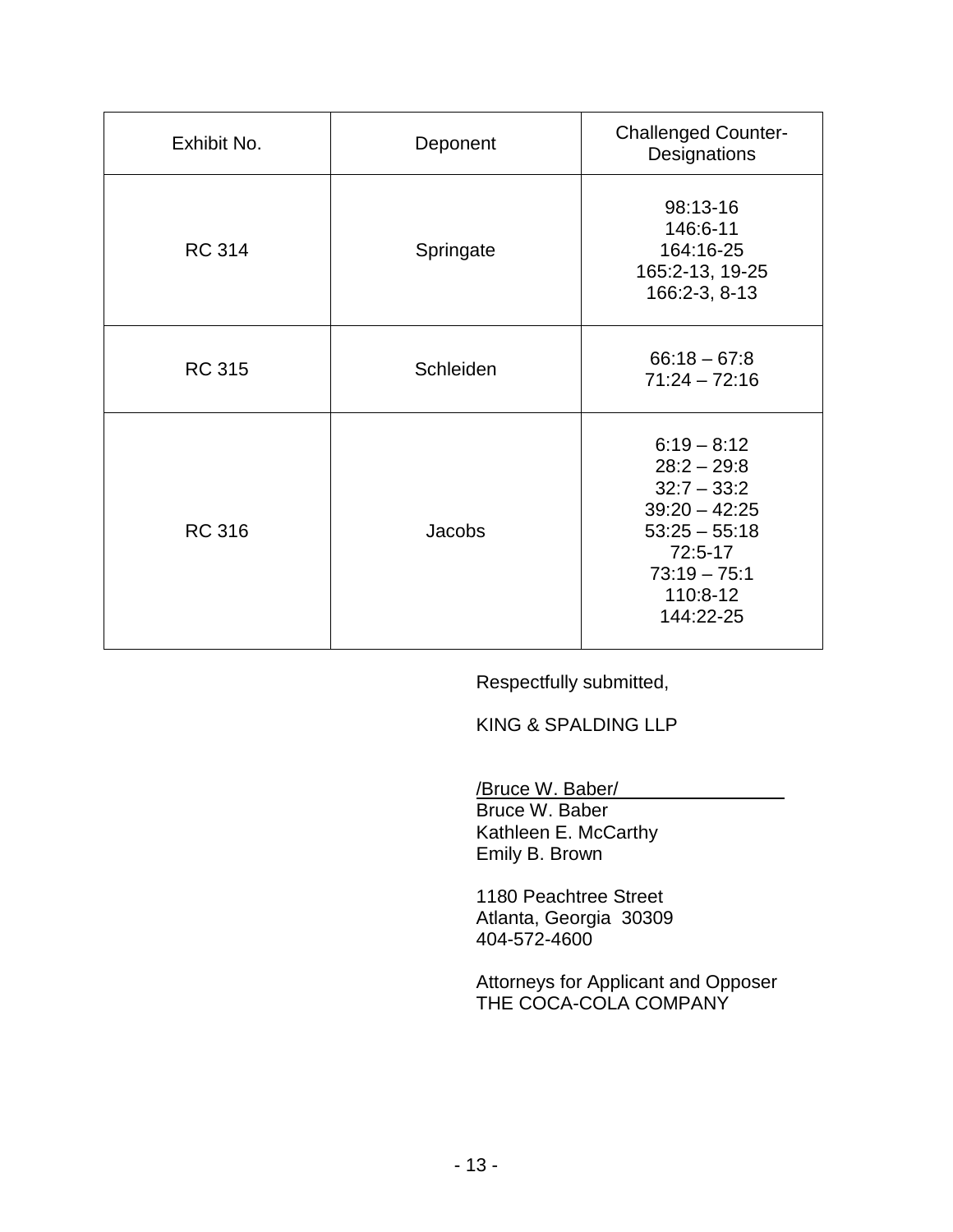| Exhibit No.   | Deponent  | <b>Challenged Counter-</b><br>Designations                                                                                                  |
|---------------|-----------|---------------------------------------------------------------------------------------------------------------------------------------------|
| <b>RC 314</b> | Springate | 98:13-16<br>146:6-11<br>164:16-25<br>165:2-13, 19-25<br>166:2-3, 8-13                                                                       |
| <b>RC 315</b> | Schleiden | $66:18 - 67:8$<br>$71:24 - 72:16$                                                                                                           |
| <b>RC 316</b> | Jacobs    | $6:19 - 8:12$<br>$28:2 - 29:8$<br>$32:7 - 33:2$<br>$39:20 - 42:25$<br>$53:25 - 55:18$<br>72:5-17<br>$73:19 - 75:1$<br>110:8-12<br>144:22-25 |

Respectfully submitted,

KING & SPALDING LLP

/Bruce W. Baber/

Bruce W. Baber Kathleen E. McCarthy Emily B. Brown

1180 Peachtree Street Atlanta, Georgia 30309 404-572-4600

Attorneys for Applicant and Opposer THE COCA-COLA COMPANY